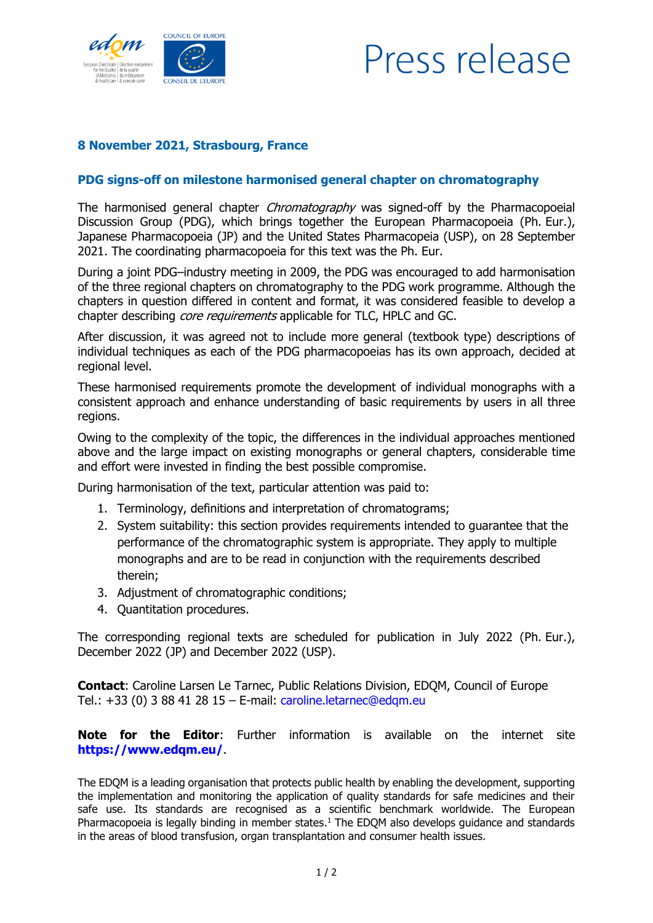

## Press release

## **8 November 2021, Strasbourg, France**

## **PDG signs-off on milestone harmonised general chapter on chromatography**

The harmonised general chapter *Chromatography* was signed-off by the Pharmacopoeial Discussion Group (PDG), which brings together the European Pharmacopoeia (Ph. Eur.), Japanese Pharmacopoeia (JP) and the United States Pharmacopeia (USP), on 28 September 2021. The coordinating pharmacopoeia for this text was the Ph. Eur.

During a joint PDG–industry meeting in 2009, the PDG was encouraged to add harmonisation of the three regional chapters on chromatography to the PDG work programme. Although the chapters in question differed in content and format, it was considered feasible to develop a chapter describing *core requirements* applicable for TLC, HPLC and GC.

After discussion, it was agreed not to include more general (textbook type) descriptions of individual techniques as each of the PDG pharmacopoeias has its own approach, decided at regional level.

These harmonised requirements promote the development of individual monographs with a consistent approach and enhance understanding of basic requirements by users in all three regions.

Owing to the complexity of the topic, the differences in the individual approaches mentioned above and the large impact on existing monographs or general chapters, considerable time and effort were invested in finding the best possible compromise.

During harmonisation of the text, particular attention was paid to:

- 1. Terminology, definitions and interpretation of chromatograms;
- 2. System suitability: this section provides requirements intended to guarantee that the performance of the chromatographic system is appropriate. They apply to multiple monographs and are to be read in conjunction with the requirements described therein;
- 3. Adjustment of chromatographic conditions;
- 4. Quantitation procedures.

The corresponding regional texts are scheduled for publication in July 2022 (Ph. Eur.), December 2022 (JP) and December 2022 (USP).

**Contact**: Caroline Larsen Le Tarnec, Public Relations Division, EDQM, Council of Europe Tel.: +33 (0) 3 88 41 28 15 – E-mail: [caroline.letarnec@edqm.eu](mailto:caroline.letarnec@edqm.eu)

**Note for the Editor**: Further information is available on the internet site **<https://www.edqm.eu/>**.

The EDQM is a leading organisation that protects public health by enabling the development, supporting the implementation and monitoring the application of quality standards for safe medicines and their safe use. Its standards are recognised as a scientific benchmark worldwide. The European Pharmacopoeia is legally binding in member states.<sup>1</sup> The EDQM also develops guidance and standards in the areas of blood transfusion, organ transplantation and consumer health issues.